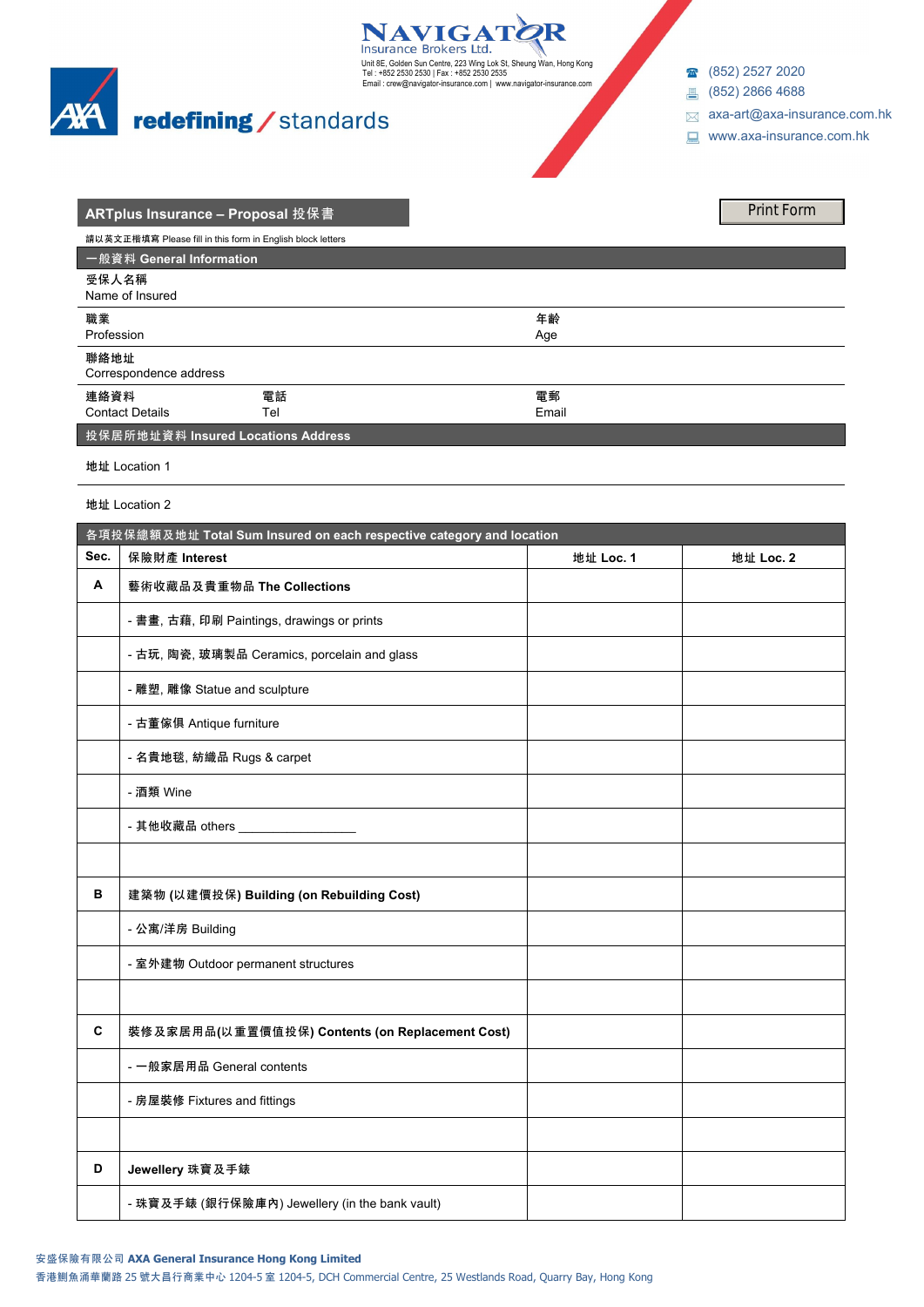

# redefining / standards

18 (852) 2527 2020

- 4688 (852) 2866 4688
- [axa-art@axa-insurance.com.hk](mailto:axa-art@axa-insurance.com.hk)
- www.axa-insurance.com.hk

| <b>ARTplus Insurance - Proposal 投保書</b> |                                                            |       | <b>Print Form</b> |
|-----------------------------------------|------------------------------------------------------------|-------|-------------------|
|                                         | 請以英文正楷填寫 Please fill in this form in English block letters |       |                   |
| 一般資料 General Information                |                                                            |       |                   |
| 受保人名稱<br>Name of Insured                |                                                            |       |                   |
| 職業                                      |                                                            | 年齢    |                   |
| Profession                              |                                                            | Age   |                   |
| 聯絡地址<br>Correspondence address          |                                                            |       |                   |
| 連絡資料                                    | 電話                                                         | 電郵    |                   |
| <b>Contact Details</b>                  | Tel                                                        | Email |                   |
| 按保居所地址資料 Insured Locations Address      |                                                            |       |                   |

Unit 8E, Golden Sun Centre, 223 Wing Lok St, Sheung Wan, Hong Kong<br>Tel : +852 2530 2530 | Fax : +852 2530 2535<br>Email : crew@navigator-insurance.com | www.navigator-insurance.com

R

**NAVIGATO** 

**地址** Location 1

**地址** Location 2

| 各項投保總額及地址 Total Sum Insured on each respective category and location |                                                 |           |           |  |
|----------------------------------------------------------------------|-------------------------------------------------|-----------|-----------|--|
| Sec.                                                                 | 保險財產 Interest                                   | 地址 Loc. 1 | 地址 Loc. 2 |  |
| Α                                                                    | 藝術收藏品及貴重物品 The Collections                      |           |           |  |
|                                                                      | - 書畫, 古藉, 印刷 Paintings, drawings or prints      |           |           |  |
|                                                                      | - 古玩, 陶瓷, 玻璃製品 Ceramics, porcelain and glass    |           |           |  |
|                                                                      | - 雕塑, 雕像 Statue and sculpture                   |           |           |  |
|                                                                      | - 古董傢俱 Antique furniture                        |           |           |  |
|                                                                      | - 名貴地毯, 紡織品 Rugs & carpet                       |           |           |  |
|                                                                      | - 酒類 Wine                                       |           |           |  |
|                                                                      |                                                 |           |           |  |
|                                                                      |                                                 |           |           |  |
| в                                                                    | 建築物 (以建價投保) Building (on Rebuilding Cost)       |           |           |  |
|                                                                      | - 公寓/洋房 Building                                |           |           |  |
|                                                                      | - 室外建物 Outdoor permanent structures             |           |           |  |
|                                                                      |                                                 |           |           |  |
| C                                                                    | 裝修及家居用品(以重置價值投保) Contents (on Replacement Cost) |           |           |  |
|                                                                      | - 一般家居用品 General contents                       |           |           |  |
|                                                                      | - 房屋裝修 Fixtures and fittings                    |           |           |  |
|                                                                      |                                                 |           |           |  |
| D                                                                    | Jewellery 珠寶及手錶                                 |           |           |  |
|                                                                      | - 珠寶及手錶 (銀行保險庫內) Jewellery (in the bank vault)  |           |           |  |

## **安盛保險有限公司 AXA General Insurance Hong Kong Limited**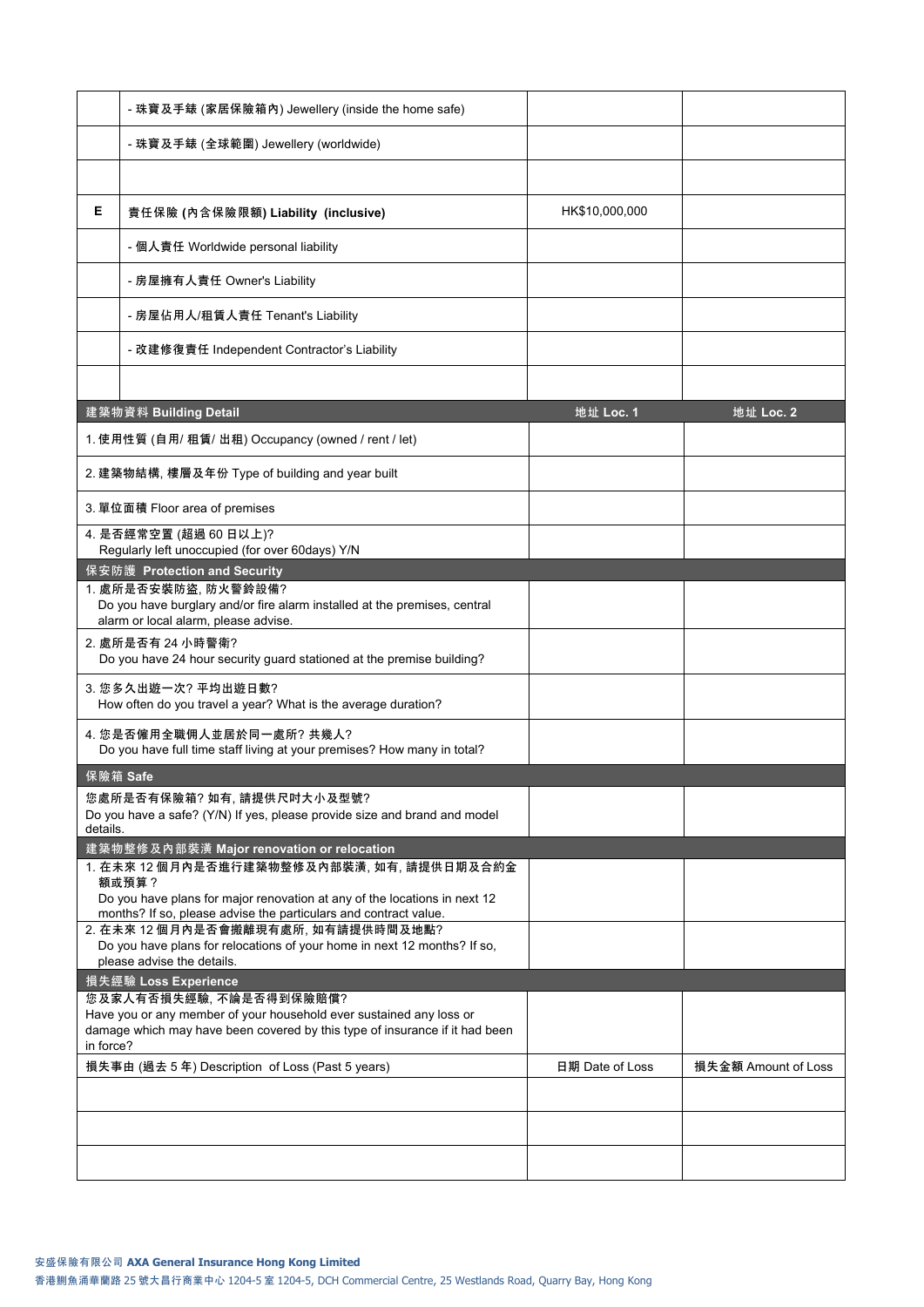|                                                                                                        | - 珠寶及手錶 (家居保險箱內) Jewellery (inside the home safe)                                                                                                  |                 |                     |  |  |
|--------------------------------------------------------------------------------------------------------|----------------------------------------------------------------------------------------------------------------------------------------------------|-----------------|---------------------|--|--|
|                                                                                                        | - 珠寶及手錶 (全球範圍) Jewellery (worldwide)                                                                                                               |                 |                     |  |  |
|                                                                                                        |                                                                                                                                                    |                 |                     |  |  |
| Е                                                                                                      | 責任保險 (內含保險限額) Liability (inclusive)                                                                                                                | HK\$10,000,000  |                     |  |  |
|                                                                                                        | - 個人責任 Worldwide personal liability                                                                                                                |                 |                     |  |  |
|                                                                                                        | - 房屋擁有人責任 Owner's Liability                                                                                                                        |                 |                     |  |  |
|                                                                                                        | - 房屋佔用人/租賃人責任 Tenant's Liability                                                                                                                   |                 |                     |  |  |
|                                                                                                        | - 改建修復責任 Independent Contractor's Liability                                                                                                        |                 |                     |  |  |
|                                                                                                        |                                                                                                                                                    |                 |                     |  |  |
|                                                                                                        | 建築物資料 Building Detail                                                                                                                              | 地址 Loc. 1       | 地址 Loc. 2           |  |  |
|                                                                                                        | 1. 使用性質 (自用/ 租賃/ 出租) Occupancy (owned / rent / let)                                                                                                |                 |                     |  |  |
|                                                                                                        | 2. 建築物結構, 樓層及年份 Type of building and year built                                                                                                    |                 |                     |  |  |
|                                                                                                        | 3. 單位面積 Floor area of premises                                                                                                                     |                 |                     |  |  |
|                                                                                                        | 4. 是否經常空置 (超過 60 日以上)?<br>Regularly left unoccupied (for over 60days) Y/N                                                                          |                 |                     |  |  |
|                                                                                                        | 保安防護 Protection and Security                                                                                                                       |                 |                     |  |  |
|                                                                                                        | 1. 處所是否安裝防盜. 防火警鈴設備?                                                                                                                               |                 |                     |  |  |
|                                                                                                        | Do you have burglary and/or fire alarm installed at the premises, central<br>alarm or local alarm, please advise.                                  |                 |                     |  |  |
|                                                                                                        | 2. 處所是否有 24 小時警衛?<br>Do you have 24 hour security guard stationed at the premise building?                                                         |                 |                     |  |  |
|                                                                                                        | 3. 您多久出遊一次? 平均出遊日數?<br>How often do you travel a year? What is the average duration?                                                               |                 |                     |  |  |
|                                                                                                        | 4. 您是否僱用全職佣人並居於同一處所? 共幾人?<br>Do you have full time staff living at your premises? How many in total?                                               |                 |                     |  |  |
| 保險箱 Safe                                                                                               |                                                                                                                                                    |                 |                     |  |  |
|                                                                                                        | 您處所是否有保險箱?如有,請提供尺吋大小及型號?                                                                                                                           |                 |                     |  |  |
| details.                                                                                               | Do you have a safe? (Y/N) If yes, please provide size and brand and model                                                                          |                 |                     |  |  |
|                                                                                                        | 建築物整修及內部裝潢 Major renovation or relocation                                                                                                          |                 |                     |  |  |
|                                                                                                        | 1. 在未來 12 個月內是否進行建築物整修及內部裝潢, 如有, 請提供日期及合約金<br>額或預算?                                                                                                |                 |                     |  |  |
|                                                                                                        | Do you have plans for major renovation at any of the locations in next 12<br>months? If so, please advise the particulars and contract value.      |                 |                     |  |  |
|                                                                                                        | 2. 在未來 12 個月內是否會搬離現有處所, 如有請提供時間及地點?                                                                                                                |                 |                     |  |  |
| Do you have plans for relocations of your home in next 12 months? If so,<br>please advise the details. |                                                                                                                                                    |                 |                     |  |  |
| 損失經驗 Loss Experience                                                                                   |                                                                                                                                                    |                 |                     |  |  |
|                                                                                                        | 您及家人有否損失經驗, 不論是否得到保險賠償?                                                                                                                            |                 |                     |  |  |
| in force?                                                                                              | Have you or any member of your household ever sustained any loss or<br>damage which may have been covered by this type of insurance if it had been |                 |                     |  |  |
|                                                                                                        | 損失事由 (過去 5 年) Description of Loss (Past 5 years)                                                                                                   | 日期 Date of Loss | 損失金額 Amount of Loss |  |  |
|                                                                                                        |                                                                                                                                                    |                 |                     |  |  |
|                                                                                                        |                                                                                                                                                    |                 |                     |  |  |
|                                                                                                        |                                                                                                                                                    |                 |                     |  |  |
|                                                                                                        |                                                                                                                                                    |                 |                     |  |  |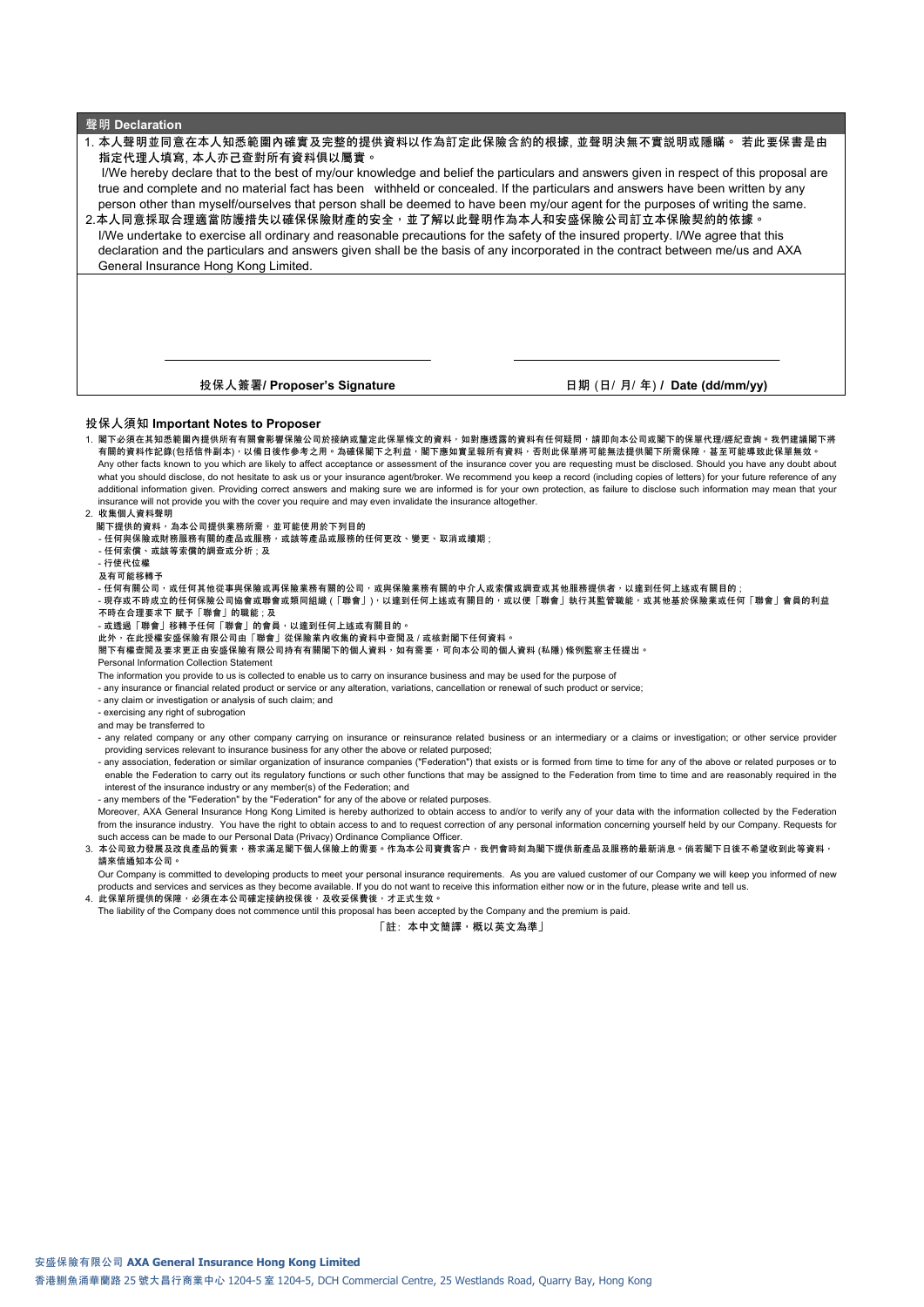| 聲明 Declaration |  |
|----------------|--|
|----------------|--|

| 1. 本人聲明並同意在本人知悉範圍內確實及完整的提供資料以作為訂定此保險含約的根據. 並聲明決無不實説明或隱瞞。 若此要保書是由                                                                      |  |  |  |
|---------------------------------------------------------------------------------------------------------------------------------------|--|--|--|
| 指定代理人填寫, 本人亦己查對所有資料俱以屬實。                                                                                                              |  |  |  |
| I/We hereby declare that to the best of my/our knowledge and belief the particulars and answers given in respect of this proposal are |  |  |  |
| true and complete and no material fact has been withheld or concealed. If the particulars and answers have been written by any        |  |  |  |
| person other than myself/ourselves that person shall be deemed to have been my/our agent for the purposes of writing the same.        |  |  |  |
| 2.本人同意採取合理適當防護措失以確保保險財產的安全,並了解以此聲明作為本人和安盛保險公司訂立本保險契約的依據。                                                                              |  |  |  |
| I/We undertake to exercise all ordinary and reasonable precautions for the safety of the insured property. I/We agree that this       |  |  |  |
| declaration and the particulars and answers given shall be the basis of any incorporated in the contract between me/us and AXA        |  |  |  |
| General Insurance Hong Kong Limited.                                                                                                  |  |  |  |
|                                                                                                                                       |  |  |  |
|                                                                                                                                       |  |  |  |
|                                                                                                                                       |  |  |  |
|                                                                                                                                       |  |  |  |
|                                                                                                                                       |  |  |  |
|                                                                                                                                       |  |  |  |
| 投保人簽署/ Proposer's Signature<br>日期 (日/ 月/ 年) / Date (dd/mm/yy)                                                                         |  |  |  |

## **投保人須知 Important Notes to Proposer**

1. **閣下必須在其知悉範圍內提供所有有關會影響保險公司於接納或釐定此保單條文的資料,如對應透露的資料有任何疑問,請即向本公司或閣下的保單代理**/**經紀查詢。我們建議閣下將** 有關的資料作記錄(包括信件副本)<sup>,</sup>以備日後作參考之用。為確保閣下之利益,閣下應如實呈報所有資料,否則此保單將可能無法提供閣下所需保障,甚至可能導致此保單無效。 Any other facts known to you which are likely to affect acceptance or assessment of the insurance cover you are requesting must be disclosed. Should you have any doubt about what you should disclose, do not hesitate to ask us or your insurance agent/broker. We recommend you keep a record (including copies of letters) for your future reference of any additional information given. Providing correct answers and making sure we are informed is for your own protection, as failure to disclose such information may mean that your own protection as failure to disclose such info insurance will not provide you with the cover you require and may even invalidate the insurance altogether.

#### 2. **收集個人資料聲明**

- **閣下提供的資料,為本公司提供業務所需,並可能使用於下列目的**
- **任何與保險或財務服務有關的產品或服務,或該等產品或服務的任何更改、變更、取消或續期** ;
- **任何索償、或該等索償的調查或分析** ; **及**
- **行使代位權**
- **及有可能移轉予**
- **任何有關公司,或任何其他從事與保險或再保險業務有關的公司,或與保險業務有關的中介人或索償或調查或其他服務提供者,以達到任何上述或有關目的** ;
- **現存或不時成立的任何保險公司協會或聯會或類同組織** (**「聯會」**)**,以達到任何上述或有關目的,或以便「聯會」執行其監管職能,或其他基於保險業或任何「聯會」會員的利益 不時在合理要求下 賦予「聯會」的職能** ; **及**
- 
- 或透過「聯會」移轉予任何「聯會」的會員,以達到任何上述或有關目的。<br>此外,在此授權安盛保險有限公司由「聯會」從保險業內收集的資料中查閲及 / 或核對閣下任何資料。
- **閤下有權查閱及要求更正由安盛保險有限公司持有有關閣下的個人資料,如有需要,可向本公司的個人資料** (**私隱**) **條例監察主任提出。**
- Personal Information Collection Statement
- The information you provide to us is collected to enable us to carry on insurance business and may be used for the purpose of
- any insurance or financial related product or service or any alteration, variations, cancellation or renewal of such product or service;
- any claim or investigation or analysis of such claim; and
- exercising any right of subrogation
- and may be transferred to
- any related company or any other company carrying on insurance or reinsurance related business or an intermediary or a claims or investigation; or other service provider providing services relevant to insurance business for any other the above or related purposed;
- any association, federation or similar organization of insurance companies ("Federation") that exists or is formed from time to time for any of the above or related purposes or to enable the Federation to carry out its regulatory functions or such other functions that may be assigned to the Federation from time to time and are reasonably required in the interest of the insurance industry or any member(s) of the Federation; and
- any members of the "Federation" by the "Federation" for any of the above or related purposes.
- Moreover, AXA General Insurance Hong Kong Limited is hereby authorized to obtain access to and/or to verify any of your data with the information collected by the Federation from the insurance industry. You have the right to obtain access to and to request correction of any personal information concerning yourself held by our Company. Requests for such access can be made to our Personal Data (Privacy) Ordinance Compliance Officer.

#### 3. 本公司致力發展及改良產品的質素,務求滿足閣下個人保險上的需要。作為本公司寶貴客户,我們會時刻為閣下提供新產品及服務的最新消息。倘若閣下日後不希望收到此等資料, **請來信通知本公司。**

Our Company is committed to developing products to meet your personal insurance requirements. As you are valued customer of our Company we will keep you informed of new - products and services and services as they become available. If you do not want to receive this information either now or in the future, please write and tell us.<br>4. 此保單所提供的保障,必須在本公司確定接納投保後,及收妥保費後,才正式生效。

The liability of the Company does not commence until this proposal has been accepted by the Company and the premium is paid.

**「註**: **本中文簡譯,概以英文為準」**